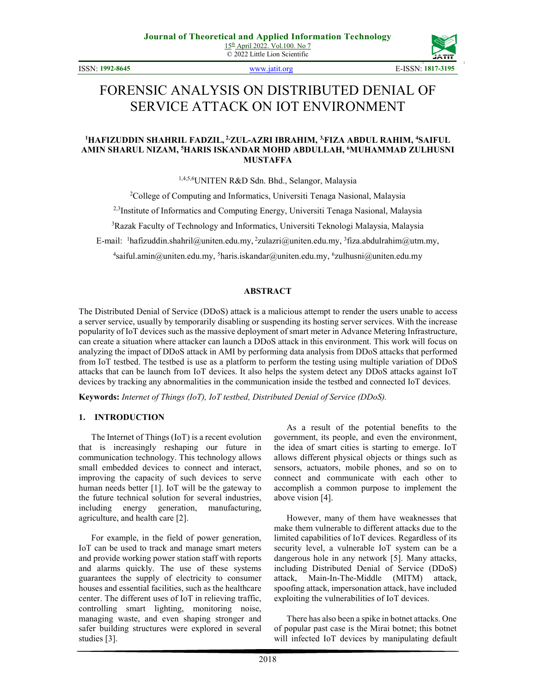ISSN: **1992-8645** www.jatit.org E-ISSN: **1817-3195**



# FORENSIC ANALYSIS ON DISTRIBUTED DENIAL OF SERVICE ATTACK ON IOT ENVIRONMENT

#### **<sup>1</sup>HAFIZUDDIN SHAHRIL FADZIL, 2,ZUL-AZRI IBRAHIM, 3,FIZA ABDUL RAHIM, <sup>4</sup>SAIFUL AMIN SHARUL NIZAM, <sup>5</sup>HARIS ISKANDAR MOHD ABDULLAH, <sup>6</sup>MUHAMMAD ZULHUSNI MUSTAFFA**

1,4,5,6UNITEN R&D Sdn. Bhd., Selangor, Malaysia

<sup>2</sup>College of Computing and Informatics, Universiti Tenaga Nasional, Malaysia

<sup>2,3</sup>Institute of Informatics and Computing Energy, Universiti Tenaga Nasional, Malaysia

<sup>3</sup>Razak Faculty of Technology and Informatics, Universiti Teknologi Malaysia, Malaysia

E-mail: <sup>1</sup>hafizuddin.shahril@uniten.edu.my, <sup>2</sup>zulazri@uniten.edu.my, <sup>3</sup>fiza.abdulrahim@utm.my,

4 saiful.amin@uniten.edu.my, <sup>5</sup>haris.iskandar@uniten.edu.my, <sup>6</sup> zulhusni@uniten.edu.my

#### **ABSTRACT**

The Distributed Denial of Service (DDoS) attack is a malicious attempt to render the users unable to access a server service, usually by temporarily disabling or suspending its hosting server services. With the increase popularity of IoT devices such as the massive deployment of smart meter in Advance Metering Infrastructure, can create a situation where attacker can launch a DDoS attack in this environment. This work will focus on analyzing the impact of DDoS attack in AMI by performing data analysis from DDoS attacks that performed from IoT testbed. The testbed is use as a platform to perform the testing using multiple variation of DDoS attacks that can be launch from IoT devices. It also helps the system detect any DDoS attacks against IoT devices by tracking any abnormalities in the communication inside the testbed and connected IoT devices.

**Keywords:** *Internet of Things (IoT), IoT testbed, Distributed Denial of Service (DDoS).*

#### **1. INTRODUCTION**

The Internet of Things (IoT) is a recent evolution that is increasingly reshaping our future in communication technology. This technology allows small embedded devices to connect and interact, improving the capacity of such devices to serve human needs better [1]. IoT will be the gateway to the future technical solution for several industries, including energy generation, manufacturing, agriculture, and health care [2].

For example, in the field of power generation, IoT can be used to track and manage smart meters and provide working power station staff with reports and alarms quickly. The use of these systems guarantees the supply of electricity to consumer houses and essential facilities, such as the healthcare center. The different uses of IoT in relieving traffic, controlling smart lighting, monitoring noise, managing waste, and even shaping stronger and safer building structures were explored in several studies [3].

As a result of the potential benefits to the government, its people, and even the environment, the idea of smart cities is starting to emerge. IoT allows different physical objects or things such as sensors, actuators, mobile phones, and so on to connect and communicate with each other to accomplish a common purpose to implement the above vision [4].

However, many of them have weaknesses that make them vulnerable to different attacks due to the limited capabilities of IoT devices. Regardless of its security level, a vulnerable IoT system can be a dangerous hole in any network [5]. Many attacks, including Distributed Denial of Service (DDoS) attack, Main-In-The-Middle (MITM) attack, spoofing attack, impersonation attack, have included exploiting the vulnerabilities of IoT devices.

There has also been a spike in botnet attacks. One of popular past case is the Mirai botnet; this botnet will infected IoT devices by manipulating default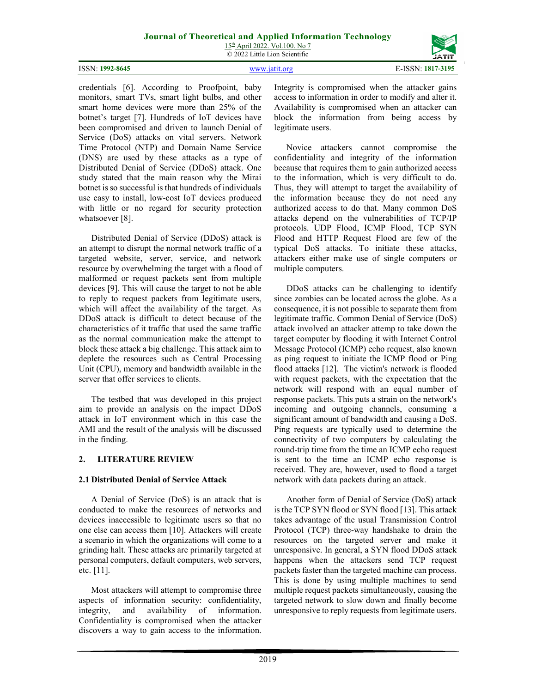15th April 2022. Vol.100. No 7 © 2022 Little Lion Scientific

| ISSN: 1992-8645 | WWW.1811L.0rg | E-ISSN: 1817-3195 |
|-----------------|---------------|-------------------|

credentials [6]. According to Proofpoint, baby monitors, smart TVs, smart light bulbs, and other smart home devices were more than 25% of the botnet's target [7]. Hundreds of IoT devices have been compromised and driven to launch Denial of Service (DoS) attacks on vital servers. Network Time Protocol (NTP) and Domain Name Service (DNS) are used by these attacks as a type of Distributed Denial of Service (DDoS) attack. One study stated that the main reason why the Mirai botnet is so successful is that hundreds of individuals use easy to install, low-cost IoT devices produced with little or no regard for security protection whatsoever [8].

Distributed Denial of Service (DDoS) attack is an attempt to disrupt the normal network traffic of a targeted website, server, service, and network resource by overwhelming the target with a flood of malformed or request packets sent from multiple devices [9]. This will cause the target to not be able to reply to request packets from legitimate users, which will affect the availability of the target. As DDoS attack is difficult to detect because of the characteristics of it traffic that used the same traffic as the normal communication make the attempt to block these attack a big challenge. This attack aim to deplete the resources such as Central Processing Unit (CPU), memory and bandwidth available in the server that offer services to clients.

The testbed that was developed in this project aim to provide an analysis on the impact DDoS attack in IoT environment which in this case the AMI and the result of the analysis will be discussed in the finding.

## **2. LITERATURE REVIEW**

## **2.1 Distributed Denial of Service Attack**

A Denial of Service (DoS) is an attack that is conducted to make the resources of networks and devices inaccessible to legitimate users so that no one else can access them [10]. Attackers will create a scenario in which the organizations will come to a grinding halt. These attacks are primarily targeted at personal computers, default computers, web servers, etc. [11].

Most attackers will attempt to compromise three aspects of information security: confidentiality, integrity, and availability of information. Confidentiality is compromised when the attacker discovers a way to gain access to the information.

Integrity is compromised when the attacker gains access to information in order to modify and alter it. Availability is compromised when an attacker can block the information from being access by legitimate users.

Novice attackers cannot compromise the confidentiality and integrity of the information because that requires them to gain authorized access to the information, which is very difficult to do. Thus, they will attempt to target the availability of the information because they do not need any authorized access to do that. Many common DoS attacks depend on the vulnerabilities of TCP/IP protocols. UDP Flood, ICMP Flood, TCP SYN Flood and HTTP Request Flood are few of the typical DoS attacks. To initiate these attacks, attackers either make use of single computers or multiple computers.

DDoS attacks can be challenging to identify since zombies can be located across the globe. As a consequence, it is not possible to separate them from legitimate traffic. Common Denial of Service (DoS) attack involved an attacker attemp to take down the target computer by flooding it with Internet Control Message Protocol (ICMP) echo request, also known as ping request to initiate the ICMP flood or Ping flood attacks [12]. The victim's network is flooded with request packets, with the expectation that the network will respond with an equal number of response packets. This puts a strain on the network's incoming and outgoing channels, consuming a significant amount of bandwidth and causing a DoS. Ping requests are typically used to determine the connectivity of two computers by calculating the round-trip time from the time an ICMP echo request is sent to the time an ICMP echo response is received. They are, however, used to flood a target network with data packets during an attack.

Another form of Denial of Service (DoS) attack is the TCP SYN flood or SYN flood [13]. This attack takes advantage of the usual Transmission Control Protocol (TCP) three-way handshake to drain the resources on the targeted server and make it unresponsive. In general, a SYN flood DDoS attack happens when the attackers send TCP request packets faster than the targeted machine can process. This is done by using multiple machines to send multiple request packets simultaneously, causing the targeted network to slow down and finally become unresponsive to reply requests from legitimate users.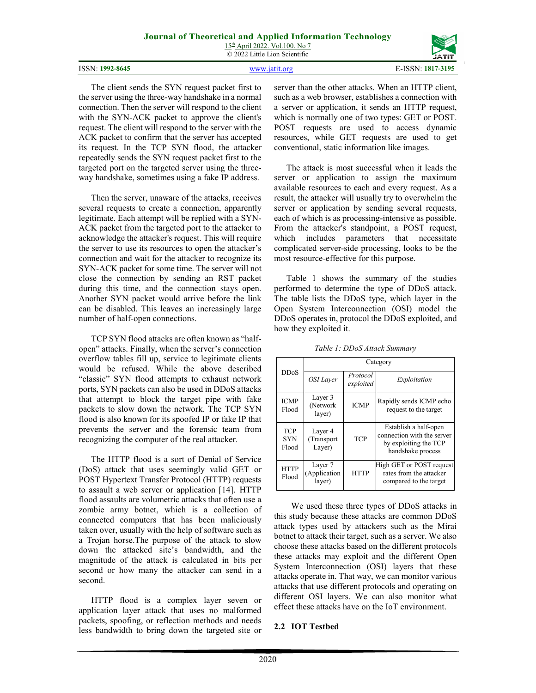15<sup>th</sup> April 2022. Vol.100. No 7 © 2022 Little Lion Scientific

|                 | $\otimes$ 2022 Little Libit Scientific | .<br>JĀTĪT        |
|-----------------|----------------------------------------|-------------------|
| ISSN: 1992-8645 |                                        | E-ISSN: 1817-3195 |

The client sends the SYN request packet first to the server using the three-way handshake in a normal connection. Then the server will respond to the client with the SYN-ACK packet to approve the client's request. The client will respond to the server with the ACK packet to confirm that the server has accepted its request. In the TCP SYN flood, the attacker repeatedly sends the SYN request packet first to the targeted port on the targeted server using the threeway handshake, sometimes using a fake IP address.

Then the server, unaware of the attacks, receives several requests to create a connection, apparently legitimate. Each attempt will be replied with a SYN-ACK packet from the targeted port to the attacker to acknowledge the attacker's request. This will require the server to use its resources to open the attacker's connection and wait for the attacker to recognize its SYN-ACK packet for some time. The server will not close the connection by sending an RST packet during this time, and the connection stays open. Another SYN packet would arrive before the link can be disabled. This leaves an increasingly large number of half-open connections.

TCP SYN flood attacks are often known as "halfopen" attacks. Finally, when the server's connection overflow tables fill up, service to legitimate clients would be refused. While the above described "classic" SYN flood attempts to exhaust network ports, SYN packets can also be used in DDoS attacks that attempt to block the target pipe with fake packets to slow down the network. The TCP SYN flood is also known for its spoofed IP or fake IP that prevents the server and the forensic team from recognizing the computer of the real attacker.

The HTTP flood is a sort of Denial of Service (DoS) attack that uses seemingly valid GET or POST Hypertext Transfer Protocol (HTTP) requests to assault a web server or application [14]. HTTP flood assaults are volumetric attacks that often use a zombie army botnet, which is a collection of connected computers that has been maliciously taken over, usually with the help of software such as a Trojan horse.The purpose of the attack to slow down the attacked site's bandwidth, and the magnitude of the attack is calculated in bits per second or how many the attacker can send in a second.

HTTP flood is a complex layer seven or application layer attack that uses no malformed packets, spoofing, or reflection methods and needs less bandwidth to bring down the targeted site or server than the other attacks. When an HTTP client, such as a web browser, establishes a connection with a server or application, it sends an HTTP request, which is normally one of two types: GET or POST. POST requests are used to access dynamic resources, while GET requests are used to get conventional, static information like images.

The attack is most successful when it leads the server or application to assign the maximum available resources to each and every request. As a result, the attacker will usually try to overwhelm the server or application by sending several requests, each of which is as processing-intensive as possible. From the attacker's standpoint, a POST request, which includes parameters that necessitate complicated server-side processing, looks to be the most resource-effective for this purpose.

Table 1 shows the summary of the studies performed to determine the type of DDoS attack. The table lists the DDoS type, which layer in the Open System Interconnection (OSI) model the DDoS operates in, protocol the DDoS exploited, and how they exploited it.

|                                   | Category                          |                       |                                                                                                   |  |
|-----------------------------------|-----------------------------------|-----------------------|---------------------------------------------------------------------------------------------------|--|
| <b>DDoS</b>                       | OSI Laver                         | Protocol<br>exploited | Exploitation                                                                                      |  |
| <b>ICMP</b><br>Flood              | Layer 3<br>(Network)<br>layer)    | <b>ICMP</b>           | Rapidly sends ICMP echo<br>request to the target                                                  |  |
| <b>TCP</b><br><b>SYN</b><br>Flood | Layer 4<br>(Transport<br>Layer)   | <b>TCP</b>            | Establish a half-open<br>connection with the server<br>by exploiting the TCP<br>handshake process |  |
| <b>HTTP</b><br>Flood              | Layer 7<br>(Application<br>layer) | <b>HTTP</b>           | High GET or POST request<br>rates from the attacker<br>compared to the target                     |  |

*Table 1: DDoS Attack Summary* 

We used these three types of DDoS attacks in this study because these attacks are common DDoS attack types used by attackers such as the Mirai botnet to attack their target, such as a server. We also choose these attacks based on the different protocols these attacks may exploit and the different Open System Interconnection (OSI) layers that these attacks operate in. That way, we can monitor various attacks that use different protocols and operating on different OSI layers. We can also monitor what effect these attacks have on the IoT environment.

# **2.2 IOT Testbed**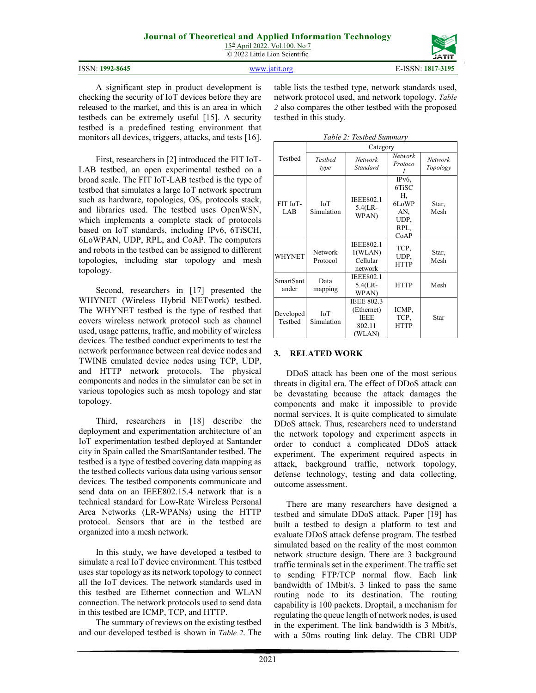15th April 2022. Vol.100. No 7 © 2022 Little Lion Scientific

|                 |                        | ------            |
|-----------------|------------------------|-------------------|
| ISSN: 1992-8645 | 37373737-19<br>`it ∩rα | E-ISSN: 1817-3195 |

A significant step in product development is checking the security of IoT devices before they are released to the market, and this is an area in which testbeds can be extremely useful [15]. A security testbed is a predefined testing environment that monitors all devices, triggers, attacks, and tests [16].

First, researchers in [2] introduced the FIT IoT-LAB testbed, an open experimental testbed on a broad scale. The FIT IoT-LAB testbed is the type of testbed that simulates a large IoT network spectrum such as hardware, topologies, OS, protocols stack, and libraries used. The testbed uses OpenWSN, which implements a complete stack of protocols based on IoT standards, including IPv6, 6TiSCH, 6LoWPAN, UDP, RPL, and CoAP. The computers and robots in the testbed can be assigned to different topologies, including star topology and mesh topology.

Second, researchers in [17] presented the WHYNET (Wireless Hybrid NETwork) testbed. The WHYNET testbed is the type of testbed that covers wireless network protocol such as channel used, usage patterns, traffic, and mobility of wireless devices. The testbed conduct experiments to test the network performance between real device nodes and TWINE emulated device nodes using TCP, UDP, and HTTP network protocols. The physical components and nodes in the simulator can be set in various topologies such as mesh topology and star topology.

Third, researchers in [18] describe the deployment and experimentation architecture of an IoT experimentation testbed deployed at Santander city in Spain called the SmartSantander testbed. The testbed is a type of testbed covering data mapping as the testbed collects various data using various sensor devices. The testbed components communicate and send data on an IEEE802.15.4 network that is a technical standard for Low-Rate Wireless Personal Area Networks (LR-WPANs) using the HTTP protocol. Sensors that are in the testbed are organized into a mesh network.

In this study, we have developed a testbed to simulate a real IoT device environment. This testbed uses star topology as its network topology to connect all the IoT devices. The network standards used in this testbed are Ethernet connection and WLAN connection. The network protocols used to send data in this testbed are ICMP, TCP, and HTTP.

The summary of reviews on the existing testbed and our developed testbed is shown in *Table 2*. The

table lists the testbed type, network standards used, network protocol used, and network topology. *Table 2* also compares the other testbed with the proposed testbed in this study.

*Table 2: Testbed Summary* 

|                      | Category                 |                                                                    |                                                                                     |                     |  |
|----------------------|--------------------------|--------------------------------------------------------------------|-------------------------------------------------------------------------------------|---------------------|--|
| Testbed              | Testhed<br>type          | Network<br>Standard                                                | <b>Network</b><br>Protoco                                                           | Network<br>Topology |  |
| FIT IoT-<br>LAB      | <b>ToT</b><br>Simulation | <b>IEEE802.1</b><br>$5.4$ (LR-<br>WPAN)                            | IP <sub>v</sub> <sub>6</sub><br>6TiSC<br>Н,<br>6LoWP<br>AN,<br>UDP.<br>RPL,<br>CoAP | Star,<br>Mesh       |  |
| WHYNET               | Network<br>Protocol      | <b>IEEE802.1</b><br>1(WLAN)<br>Cellular<br>network                 | TCP,<br>UDP.<br><b>HTTP</b>                                                         | Star,<br>Mesh       |  |
| SmartSant<br>ander   | Data<br>mapping          | <b>IEEE802.1</b><br>$5.4$ (LR-<br><b>WPAN</b>                      | <b>HTTP</b>                                                                         | Mesh                |  |
| Developed<br>Testbed | <b>ToT</b><br>Simulation | <b>IEEE 802.3</b><br>(Ethernet)<br><b>IEEE</b><br>802.11<br>(WLAN) | ICMP,<br>TCP.<br><b>HTTP</b>                                                        | Star                |  |

## **3. RELATED WORK**

DDoS attack has been one of the most serious threats in digital era. The effect of DDoS attack can be devastating because the attack damages the components and make it impossible to provide normal services. It is quite complicated to simulate DDoS attack. Thus, researchers need to understand the network topology and experiment aspects in order to conduct a complicated DDoS attack experiment. The experiment required aspects in attack, background traffic, network topology, defense technology, testing and data collecting, outcome assessment.

There are many researchers have designed a testbed and simulate DDoS attack. Paper [19] has built a testbed to design a platform to test and evaluate DDoS attack defense program. The testbed simulated based on the reality of the most common network structure design. There are 3 background traffic terminals set in the experiment. The traffic set to sending FTP/TCP normal flow. Each link bandwidth of 1Mbit/s. 3 linked to pass the same routing node to its destination. The routing capability is 100 packets. Droptail, a mechanism for regulating the queue length of network nodes, is used in the experiment. The link bandwidth is 3 Mbit/s, with a 50ms routing link delay. The CBRl UDP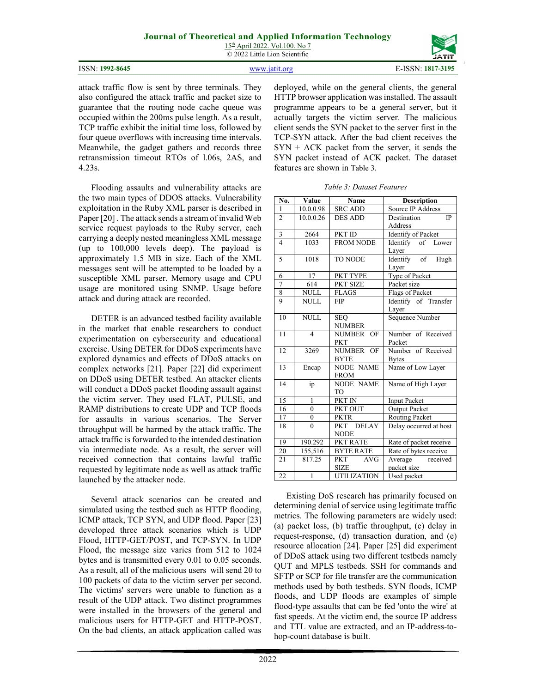15th April 2022. Vol.100. No 7 © 2022 Little Lion Scientific

|                          | _______                |
|--------------------------|------------------------|
| 92-8645<br>1997<br>ISSN: | 7-3195<br>1017<br>1017 |

attack traffic flow is sent by three terminals. They also configured the attack traffic and packet size to guarantee that the routing node cache queue was occupied within the 200ms pulse length. As a result, TCP traffic exhibit the initial time loss, followed by four queue overflows with increasing time intervals. Meanwhile, the gadget gathers and records three retransmission timeout RTOs of l.06s, 2AS, and 4.23s.

Flooding assaults and vulnerability attacks are the two main types of DDOS attacks. Vulnerability exploitation in the Ruby XML parser is described in Paper [20] . The attack sends a stream of invalid Web service request payloads to the Ruby server, each carrying a deeply nested meaningless XML message (up to 100,000 levels deep). The payload is approximately 1.5 MB in size. Each of the XML messages sent will be attempted to be loaded by a susceptible XML parser. Memory usage and CPU usage are monitored using SNMP. Usage before attack and during attack are recorded.

DETER is an advanced testbed facility available in the market that enable researchers to conduct experimentation on cybersecurity and educational exercise. Using DETER for DDoS experiments have explored dynamics and effects of DDoS attacks on complex networks [21]. Paper [22] did experiment on DDoS using DETER testbed. An attacker clients will conduct a DDoS packet flooding assault against the victim server. They used FLAT, PULSE, and RAMP distributions to create UDP and TCP floods for assaults in various scenarios. The Server throughput will be harmed by the attack traffic. The attack traffic is forwarded to the intended destination via intermediate node. As a result, the server will received connection that contains lawful traffic requested by legitimate node as well as attack traffic launched by the attacker node.

Several attack scenarios can be created and simulated using the testbed such as HTTP flooding, ICMP attack, TCP SYN, and UDP flood. Paper [23] developed three attack scenarios which is UDP Flood, HTTP-GET/POST, and TCP-SYN. In UDP Flood, the message size varies from 512 to 1024 bytes and is transmitted every 0.01 to 0.05 seconds. As a result, all of the malicious users will send 20 to 100 packets of data to the victim server per second. The victims' servers were unable to function as a result of the UDP attack. Two distinct programmes were installed in the browsers of the general and malicious users for HTTP-GET and HTTP-POST. On the bad clients, an attack application called was deployed, while on the general clients, the general HTTP browser application was installed. The assault programme appears to be a general server, but it actually targets the victim server. The malicious client sends the SYN packet to the server first in the TCP-SYN attack. After the bad client receives the  $SYN + ACK$  packet from the server, it sends the SYN packet instead of ACK packet. The dataset features are shown in Table 3.

|  | Table 3: Dataset Features |
|--|---------------------------|
|  |                           |

| No.            | Value                  | Name                     | <b>Description</b>     |  |
|----------------|------------------------|--------------------------|------------------------|--|
| 1              | 10.0.0.98              | <b>SRC ADD</b>           | Source IP Address      |  |
| $\overline{2}$ | 10.0.0.26              | <b>DES ADD</b>           | Destination<br>IP      |  |
|                |                        |                          | Address                |  |
| 3              | 2664                   | PKT ID                   | Identify of Packet     |  |
| $\overline{4}$ | 1033                   | <b>FROM NODE</b>         | Identify of Lower      |  |
|                |                        |                          | Layer                  |  |
| 5              | 1018                   | <b>TO NODE</b>           | Identify of Hugh       |  |
|                |                        |                          | Layer                  |  |
| 6              | 17                     | PKT TYPE                 | Type of Packet         |  |
| $\overline{7}$ | 614                    | PKT SIZE                 | Packet size            |  |
| $\frac{8}{9}$  | <b>NULL</b>            | <b>FLAGS</b>             | Flags of Packet        |  |
|                | NULL.                  | <b>FIP</b>               | Identify of Transfer   |  |
|                |                        |                          | Layer                  |  |
| 10             | <b>NULL</b>            | <b>SEO</b>               | Sequence Number        |  |
|                |                        | <b>NUMBER</b>            |                        |  |
| 11             | $\overline{4}$         | NUMBER OF                | Number of Received     |  |
|                |                        | <b>PKT</b>               | Packet                 |  |
| 12             | 3269                   | NUMBER OF                | Number of Received     |  |
|                |                        | <b>BYTE</b>              | <b>Bytes</b>           |  |
| 13             | Encap                  | <b>NODE NAME</b>         | Name of Low Layer      |  |
|                |                        | <b>FROM</b>              |                        |  |
| 14             | $\mathrm{i}\mathrm{p}$ | <b>NODE NAME</b>         | Name of High Layer     |  |
|                |                        | TO                       |                        |  |
| 15             | $\mathbf{1}$           | PKT IN                   | <b>Input Packet</b>    |  |
| 16             | $\overline{0}$         | PKT OUT                  | <b>Output Packet</b>   |  |
| 17             | $\boldsymbol{0}$       | <b>PKTR</b>              | Routing Packet         |  |
| 18             | $\theta$               | PKT DELAY                | Delay occurred at host |  |
|                |                        | <b>NODE</b>              |                        |  |
| 19             | 190.292                | PKT RATE                 | Rate of packet receive |  |
| 20             | 155,516                | <b>BYTE RATE</b>         | Rate of bytes receive  |  |
| 21             | 817.25                 | <b>AVG</b><br><b>PKT</b> | Average received       |  |
|                |                        | <b>SIZE</b>              | packet size            |  |
| 22             | $\overline{1}$         | <b>UTILIZATION</b>       | Used packet            |  |

Existing DoS research has primarily focused on determining denial of service using legitimate traffic metrics. The following parameters are widely used: (a) packet loss, (b) traffic throughput, (c) delay in request-response, (d) transaction duration, and (e) resource allocation [24]. Paper [25] did experiment of DDoS attack using two different testbeds namely QUT and MPLS testbeds. SSH for commands and SFTP or SCP for file transfer are the communication methods used by both testbeds. SYN floods, ICMP floods, and UDP floods are examples of simple flood-type assaults that can be fed 'onto the wire' at fast speeds. At the victim end, the source IP address and TTL value are extracted, and an IP-address-tohop-count database is built.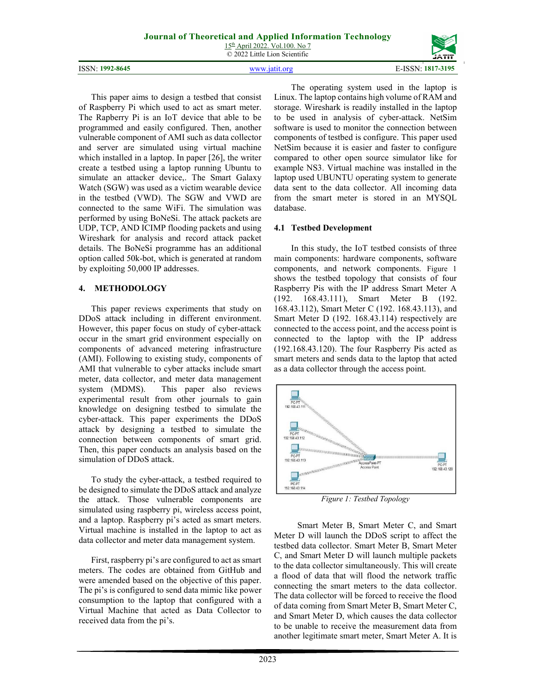15th April 2022. Vol.100. No 7 © 2022 Little Lion Scientific



ISSN: **1992-8645** www.jatit.org E-ISSN: **1817-3195**

This paper aims to design a testbed that consist of Raspberry Pi which used to act as smart meter. The Rapberry Pi is an IoT device that able to be programmed and easily configured. Then, another vulnerable component of AMI such as data collector and server are simulated using virtual machine which installed in a laptop. In paper [26], the writer create a testbed using a laptop running Ubuntu to simulate an attacker device,. The Smart Galaxy Watch (SGW) was used as a victim wearable device in the testbed (VWD). The SGW and VWD are connected to the same WiFi. The simulation was performed by using BoNeSi. The attack packets are UDP, TCP, AND ICIMP flooding packets and using Wireshark for analysis and record attack packet details. The BoNeSi programme has an additional option called 50k-bot, which is generated at random by exploiting 50,000 IP addresses.

## **4. METHODOLOGY**

This paper reviews experiments that study on DDoS attack including in different environment. However, this paper focus on study of cyber-attack occur in the smart grid environment especially on components of advanced metering infrastructure (AMI). Following to existing study, components of AMI that vulnerable to cyber attacks include smart meter, data collector, and meter data management<br>system (MDMS). This paper also reviews This paper also reviews experimental result from other journals to gain knowledge on designing testbed to simulate the cyber-attack. This paper experiments the DDoS attack by designing a testbed to simulate the connection between components of smart grid. Then, this paper conducts an analysis based on the simulation of DDoS attack.

To study the cyber-attack, a testbed required to be designed to simulate the DDoS attack and analyze the attack. Those vulnerable components are simulated using raspberry pi, wireless access point, and a laptop. Raspberry pi's acted as smart meters. Virtual machine is installed in the laptop to act as data collector and meter data management system.

First, raspberry pi's are configured to act as smart meters. The codes are obtained from GitHub and were amended based on the objective of this paper. The pi's is configured to send data mimic like power consumption to the laptop that configured with a Virtual Machine that acted as Data Collector to received data from the pi's.

The operating system used in the laptop is Linux. The laptop contains high volume of RAM and storage. Wireshark is readily installed in the laptop to be used in analysis of cyber-attack. NetSim software is used to monitor the connection between components of testbed is configure. This paper used NetSim because it is easier and faster to configure compared to other open source simulator like for example NS3. Virtual machine was installed in the laptop used UBUNTU operating system to generate data sent to the data collector. All incoming data from the smart meter is stored in an MYSQL database.

## **4.1 Testbed Development**

In this study, the IoT testbed consists of three main components: hardware components, software components, and network components. Figure 1 shows the testbed topology that consists of four Raspberry Pis with the IP address Smart Meter A (192. 168.43.111), Smart Meter B (192. 168.43.112), Smart Meter C (192. 168.43.113), and Smart Meter D (192. 168.43.114) respectively are connected to the access point, and the access point is connected to the laptop with the IP address (192.168.43.120). The four Raspberry Pis acted as smart meters and sends data to the laptop that acted as a data collector through the access point.



*Figure 1: Testbed Topology* 

 Smart Meter B, Smart Meter C, and Smart Meter D will launch the DDoS script to affect the testbed data collector. Smart Meter B, Smart Meter C, and Smart Meter D will launch multiple packets to the data collector simultaneously. This will create a flood of data that will flood the network traffic connecting the smart meters to the data collector. The data collector will be forced to receive the flood of data coming from Smart Meter B, Smart Meter C, and Smart Meter D, which causes the data collector to be unable to receive the measurement data from another legitimate smart meter, Smart Meter A. It is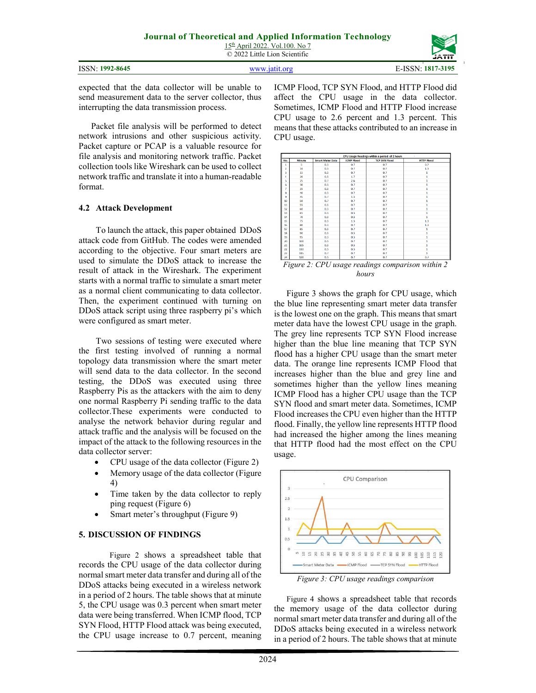| JĀTĪT |  |
|-------|--|
|       |  |

| ISSN: 1992-8645 | www.jatit.org | E-ISSN: 1817-3195 |
|-----------------|---------------|-------------------|

expected that the data collector will be unable to send measurement data to the server collector, thus interrupting the data transmission process.

 Packet file analysis will be performed to detect network intrusions and other suspicious activity. Packet capture or PCAP is a valuable resource for file analysis and monitoring network traffic. Packet collection tools like Wireshark can be used to collect network traffic and translate it into a human-readable format.

#### **4.2 Attack Development**

To launch the attack, this paper obtained DDoS attack code from GitHub. The codes were amended according to the objective. Four smart meters are used to simulate the DDoS attack to increase the result of attack in the Wireshark. The experiment starts with a normal traffic to simulate a smart meter as a normal client communicating to data collector. Then, the experiment continued with turning on DDoS attack script using three raspberry pi's which were configured as smart meter.

Two sessions of testing were executed where the first testing involved of running a normal topology data transmission where the smart meter will send data to the data collector. In the second testing, the DDoS was executed using three Raspberry Pis as the attackers with the aim to deny one normal Raspberry Pi sending traffic to the data collector.These experiments were conducted to analyse the network behavior during regular and attack traffic and the analysis will be focused on the impact of the attack to the following resources in the data collector server:

- CPU usage of the data collector (Figure 2)
- Memory usage of the data collector (Figure 4)
- Time taken by the data collector to reply ping request (Figure 6)
- Smart meter's throughput (Figure 9)

## **5. DISCUSSION OF FINDINGS**

Figure 2 shows a spreadsheet table that records the CPU usage of the data collector during normal smart meter data transfer and during all of the DDoS attacks being executed in a wireless network in a period of 2 hours. The table shows that at minute 5, the CPU usage was 0.3 percent when smart meter data were being transferred. When ICMP flood, TCP SYN Flood, HTTP Flood attack was being executed, the CPU usage increase to 0.7 percent, meaning ICMP Flood, TCP SYN Flood, and HTTP Flood did affect the CPU usage in the data collector. Sometimes, ICMP Flood and HTTP Flood increase CPU usage to 2.6 percent and 1.3 percent. This means that these attacks contributed to an increase in CPU usage.



*hours*

Figure 3 shows the graph for CPU usage, which the blue line representing smart meter data transfer is the lowest one on the graph. This means that smart meter data have the lowest CPU usage in the graph. The grey line represents TCP SYN Flood increase higher than the blue line meaning that TCP SYN flood has a higher CPU usage than the smart meter data. The orange line represents ICMP Flood that increases higher than the blue and grey line and sometimes higher than the yellow lines meaning ICMP Flood has a higher CPU usage than the TCP SYN flood and smart meter data. Sometimes, ICMP Flood increases the CPU even higher than the HTTP flood. Finally, the yellow line represents HTTP flood had increased the higher among the lines meaning that HTTP flood had the most effect on the CPU usage.



*Figure 3: CPU usage readings comparison* 

Figure 4 shows a spreadsheet table that records the memory usage of the data collector during normal smart meter data transfer and during all of the DDoS attacks being executed in a wireless network in a period of 2 hours. The table shows that at minute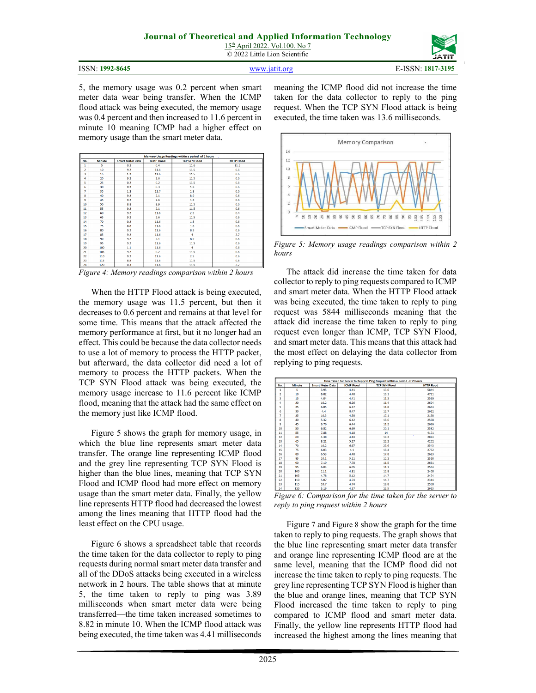|  | ISSN: 1992-8645 |
|--|-----------------|
|--|-----------------|



**ISSN:** 1817-3195 **E-ISSN:** 1817-3195

5, the memory usage was 0.2 percent when smart meter data wear being transfer. When the ICMP flood attack was being executed, the memory usage was 0.4 percent and then increased to 11.6 percent in minute 10 meaning ICMP had a higher effect on memory usage than the smart meter data.

|                | Memory Usage Readings within a period of 2 hours<br>$\sim 100$ |                         |                   |                      |                   |
|----------------|----------------------------------------------------------------|-------------------------|-------------------|----------------------|-------------------|
| No.            | <b>Minute</b>                                                  | <b>Smart Meter Data</b> | <b>ICMP Flood</b> | <b>TCP SYN Flood</b> | <b>HTTP Flood</b> |
| 1              | 5                                                              | 0.2                     | 0.4               | 11.6                 | 11.5              |
| $\overline{a}$ | 10                                                             | 9.2                     | 11.6              | 11.5                 | 0.6               |
| 3              | 15                                                             | 1.2                     | 11.6              | 11.5                 | 0.6               |
| 4              | 20                                                             | 9.2                     | 2.6               | 11.5                 | 0.6               |
| 5              | 25                                                             | 0.2                     | 0.2               | 11.5                 | 0.6               |
| 6              | 30                                                             | 9.2                     | 0.3               | 1.8                  | 0.6               |
| 7              | 35                                                             | 1.2                     | 11.7              | 1.8                  | 0.6               |
| Ŕ.             | 40                                                             | 9.2                     | 2.1               | 8.9                  | 0.6               |
| q              | 45                                                             | 9.2                     | 2.6               | 1.8                  | 0.6               |
| 10             | 50                                                             | 8.8                     | 8.9               | 11.5                 | 0.6               |
| 11             | 55                                                             | 9.2                     | 2.1               | 11.5                 | 0.6               |
| 12             | 60                                                             | 9.2                     | 11.6              | 2.5                  | 0.4               |
| 13             | 65                                                             | 9.2                     | 2.6               | 11.5                 | 0.6               |
| 14             | 70                                                             | 0.2                     | 11.6              | 1.8                  | 0.6               |
| 15             | 75                                                             | 8.8                     | 11.6              | 1.8                  | 0.6               |
| 16             | 80                                                             | 9.2                     | 11.6              | 8.9                  | 0.6               |
| 17             | 85                                                             | 9.2                     | 11.6              | $\overline{4}$       | 2.7               |
| 18             | 90                                                             | 9.2                     | 2.1               | 8.9                  | 0.6               |
| 19             | 95                                                             | 9.2                     | 11.6              | 11.5                 | 0.6               |
| 20             | 100                                                            | 1.1                     | 11.6              | 4                    | 0.6               |
| 21             | 105                                                            | 9.2                     | 0.2               | 11.5                 | 0.6               |
| 22             | 110                                                            | 9.2                     | 11.6              | 2.5                  | 0.6               |
| 23             | 115                                                            | 8.8                     | 11.6              | 11.5                 | 0.6               |
| 24             | 120                                                            | 0.3                     | 11.6              | 11.5                 | 2.7               |

*Figure 4: Memory readings comparison within 2 hours*

When the HTTP Flood attack is being executed, the memory usage was 11.5 percent, but then it decreases to 0.6 percent and remains at that level for some time. This means that the attack affected the memory performance at first, but it no longer had an effect. This could be because the data collector needs to use a lot of memory to process the HTTP packet, but afterward, the data collector did need a lot of memory to process the HTTP packets. When the TCP SYN Flood attack was being executed, the memory usage increase to 11.6 percent like ICMP flood, meaning that the attack had the same effect on the memory just like ICMP flood.

Figure 5 shows the graph for memory usage, in which the blue line represents smart meter data transfer. The orange line representing ICMP flood and the grey line representing TCP SYN Flood is higher than the blue lines, meaning that TCP SYN Flood and ICMP flood had more effect on memory usage than the smart meter data. Finally, the yellow line represents HTTP flood had decreased the lowest among the lines meaning that HTTP flood had the least effect on the CPU usage.

Figure 6 shows a spreadsheet table that records the time taken for the data collector to reply to ping requests during normal smart meter data transfer and all of the DDoS attacks being executed in a wireless network in 2 hours. The table shows that at minute 5, the time taken to reply to ping was 3.89 milliseconds when smart meter data were being transferred—the time taken increased sometimes to 8.82 in minute 10. When the ICMP flood attack was being executed, the time taken was 4.41 milliseconds meaning the ICMP flood did not increase the time taken for the data collector to reply to the ping request. When the TCP SYN Flood attack is being executed, the time taken was 13.6 milliseconds.



*Figure 5: Memory usage readings comparison within 2 hours* 

The attack did increase the time taken for data collector to reply to ping requests compared to ICMP and smart meter data. When the HTTP Flood attack was being executed, the time taken to reply to ping request was 5844 milliseconds meaning that the attack did increase the time taken to reply to ping request even longer than ICMP, TCP SYN Flood, and smart meter data. This means that this attack had the most effect on delaying the data collector from replying to ping requests.

| Time Taken for Server to Reply to Ping Request within a period of 2 hours |               |                         |                            |                                                                  |                        |  |  |  |  |
|---------------------------------------------------------------------------|---------------|-------------------------|----------------------------|------------------------------------------------------------------|------------------------|--|--|--|--|
| No.                                                                       | <b>Minute</b> | <b>Smart Meter Data</b> | <b>ICMP Flood</b>          | <b>TCP SYN Flood</b>                                             | <b>HTTP Flood</b>      |  |  |  |  |
| 1                                                                         | 5             | 3.95                    | 4.41                       | 13.6                                                             | 5844                   |  |  |  |  |
| $\overline{2}$                                                            | 10            | 8.82                    | 4.48                       | 19.1                                                             | 4721                   |  |  |  |  |
| 3                                                                         | 15            | 4.04                    | 4.41                       | 11.3                                                             | 2560                   |  |  |  |  |
| 4                                                                         | 20            | 10.2                    | 6.26                       | 11.4                                                             | 2624                   |  |  |  |  |
| 5                                                                         | 25            | 6.85                    | 6.17                       | 11.8                                                             | 2663                   |  |  |  |  |
| 6                                                                         | 30            | 4.4                     | 8.47                       | 12.7                                                             | 2612                   |  |  |  |  |
| 7                                                                         | 35            | 10.3                    | 4.58                       | 17.1                                                             | 2158                   |  |  |  |  |
| 8                                                                         | 40            | 5.32                    | 6.12                       | 18.6                                                             | 2568                   |  |  |  |  |
| 9                                                                         | 45            | 9.76                    | 6.44                       | 11.2                                                             | 2696                   |  |  |  |  |
| 10                                                                        | 50            | 6.82                    | 6.69                       | 20.1                                                             | 2582                   |  |  |  |  |
| 11                                                                        | 55            | 7.88                    | 4.18                       | 14                                                               | 4171                   |  |  |  |  |
| 12                                                                        | 60            | 4.38                    | 4.83                       | 19.2                                                             | 2834                   |  |  |  |  |
| 13                                                                        | 65            | 8.21                    | 5.27                       | 22.2                                                             | 4252                   |  |  |  |  |
| 14                                                                        | 70            | 10.2                    | 6.67                       | 23.6                                                             | 3543                   |  |  |  |  |
| 15                                                                        | 75            | 6.03                    | 4.1                        | 18.4                                                             | 2732                   |  |  |  |  |
| 16                                                                        | 80            | 6.53                    | 4.48                       | 17.8                                                             | 2623                   |  |  |  |  |
| 17                                                                        | 85            | 10.1                    | 5.11                       | 12.2                                                             | 2518                   |  |  |  |  |
| 18                                                                        | 90            | 7.19                    | 7.78                       | 11.5                                                             | 2661                   |  |  |  |  |
| 19                                                                        | 95            | 6.04                    | 6.05                       | 11.1                                                             | 2564                   |  |  |  |  |
| 20                                                                        | 100           | 11.1                    | 4.81                       | 12.8                                                             | 2468                   |  |  |  |  |
| 21                                                                        | 105           | 4.78                    | 5.12                       | 14.7                                                             | 2474                   |  |  |  |  |
| 22                                                                        | 110           | 5.07                    | 4.74                       | 14.7                                                             | 2314                   |  |  |  |  |
| 23                                                                        | 115           | 10.7                    | 4.74                       | 18.8                                                             | 2558                   |  |  |  |  |
| 24                                                                        | 120           | 5.16                    | 4.37                       | 23.5                                                             | 2663                   |  |  |  |  |
| <b></b>                                                                   | $\sim$        | ۰                       | $\epsilon$<br>$\mathbf{r}$ | $\mathbf{r}$<br>$\sim$ $\sim$ $\sim$<br>the contract of the con- | $\sim$<br>$\mathbf{r}$ |  |  |  |  |

*Figure 6: Comparison for the time taken for the server to reply to ping request within 2 hours* 

Figure 7 and Figure 8 show the graph for the time taken to reply to ping requests. The graph shows that the blue line representing smart meter data transfer and orange line representing ICMP flood are at the same level, meaning that the ICMP flood did not increase the time taken to reply to ping requests. The grey line representing TCP SYN Flood is higher than the blue and orange lines, meaning that TCP SYN Flood increased the time taken to reply to ping compared to ICMP flood and smart meter data. Finally, the yellow line represents HTTP flood had increased the highest among the lines meaning that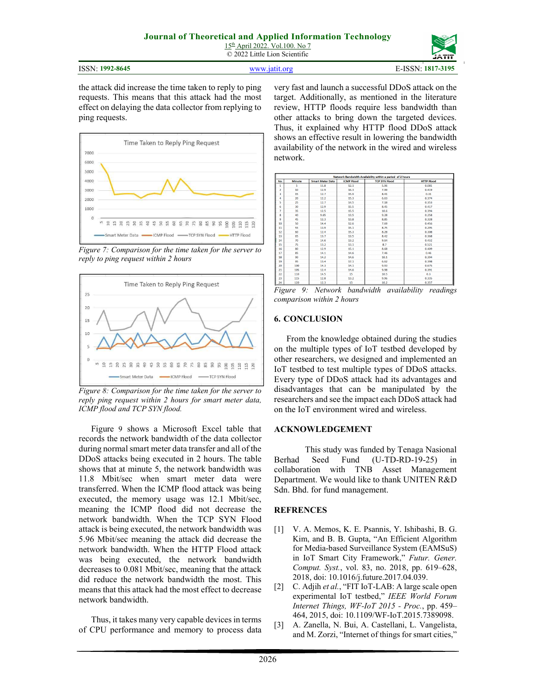15th April 2022. Vol.100. No 7 © 2022 Little Lion Scientific

ISSN: **1992-8645** www.jatit.org E-ISSN: **1817-3195**

the attack did increase the time taken to reply to ping requests. This means that this attack had the most effect on delaying the data collector from replying to ping requests.



*Figure 7: Comparison for the time taken for the server to reply to ping request within 2 hours* 



*Figure 8: Comparison for the time taken for the server to reply ping request within 2 hours for smart meter data, ICMP flood and TCP SYN flood.* 

Figure 9 shows a Microsoft Excel table that records the network bandwidth of the data collector during normal smart meter data transfer and all of the DDoS attacks being executed in 2 hours. The table shows that at minute 5, the network bandwidth was 11.8 Mbit/sec when smart meter data were transferred. When the ICMP flood attack was being executed, the memory usage was 12.1 Mbit/sec, meaning the ICMP flood did not decrease the network bandwidth. When the TCP SYN Flood attack is being executed, the network bandwidth was 5.96 Mbit/sec meaning the attack did decrease the network bandwidth. When the HTTP Flood attack was being executed, the network bandwidth decreases to 0.081 Mbit/sec, meaning that the attack did reduce the network bandwidth the most. This means that this attack had the most effect to decrease network bandwidth.

Thus, it takes many very capable devices in terms of CPU performance and memory to process data very fast and launch a successful DDoS attack on the target. Additionally, as mentioned in the literature review, HTTP floods require less bandwidth than other attacks to bring down the targeted devices. Thus, it explained why HTTP flood DDoS attack shows an effective result in lowering the bandwidth availability of the network in the wired and wireless network.

| Network Bandwidth Availability within a period of 2 hours |                  |                         |                   |                      |                   |  |  |  |
|-----------------------------------------------------------|------------------|-------------------------|-------------------|----------------------|-------------------|--|--|--|
| No.                                                       | <b>Minute</b>    | <b>Smart Meter Data</b> | <b>ICMP Flood</b> | <b>TCP SYN Flood</b> | <b>HTTP Flood</b> |  |  |  |
| 1                                                         | 5                | 11.8                    | 12.1              | 5.96                 | 0.081             |  |  |  |
| $\overline{2}$                                            | 10 <sub>10</sub> | 12.9                    | 16.3              | 7.99                 | 0.419             |  |  |  |
| R.                                                        | 15               | 12.7                    | 15.9              | 8.41                 | 0.31              |  |  |  |
| 4                                                         | 20               | 12.2                    | 15.3              | 6.63                 | 0.374             |  |  |  |
| s                                                         | 25               | 12.7                    | 14.5              | 7.18                 | 0.353             |  |  |  |
| 6                                                         | 30               | 12.9                    | 15.5              | 8.45                 | 0.417             |  |  |  |
| 7                                                         | 35               | 12.5                    | 15.5              | 10.6                 | 0.394             |  |  |  |
| 8                                                         | 40               | 9.65                    | 13.5              | 9.28                 | 0.258             |  |  |  |
| 9                                                         | 45               | 12.3                    | 13.8              | 8.85                 | 0.328             |  |  |  |
| 10                                                        | 50               | 14.4                    | 12.6              | 7.69                 | 0.456             |  |  |  |
| 11                                                        | 55               | 13.9                    | 15.1              | 8.75                 | 0.295             |  |  |  |
| 12                                                        | 60               | 12.4                    | 15.3              | 8.28                 | 0.308             |  |  |  |
| 13                                                        | 65               | 13.7                    | 13.5              | 8.42                 | 0.368<br>×        |  |  |  |
| 14                                                        | 70               | 14.6                    | 13.2              | 9.64                 | 0.432             |  |  |  |
| 15                                                        | 75               | 13.2                    | 13.1              | 8.7                  | 0.521             |  |  |  |
| 16                                                        | 80               | 12.9                    | 15.1              | 8.68                 | 0.409             |  |  |  |
| 17                                                        | 85               | 14.1                    | 14.6              | 7.46                 | 0.46              |  |  |  |
| 18                                                        | 90               | 14.2                    | 14.6              | 10.1                 | 0.394             |  |  |  |
| 19                                                        | 95               | 13.4                    | 17.1              | 6.62                 | 0.398             |  |  |  |
| 20                                                        | 100              | 14.3                    | 14.1              | 9.93                 | 0.675             |  |  |  |
| 21                                                        | 105              | 12.4                    | 14.6              | 9.98                 | 0.391             |  |  |  |
| 22                                                        | 110              | 14.5                    | 15                | 10.5                 | 0.3               |  |  |  |
| 23                                                        | 115              | 12.8                    | 13.2              | 9.96                 | 0.335             |  |  |  |
| 24                                                        | 120              | 12.3                    | 15                | 10.2                 | 0.357             |  |  |  |

*Figure 9: Network bandwidth availability readings comparison within 2 hours* 

#### **6. CONCLUSION**

From the knowledge obtained during the studies on the multiple types of IoT testbed developed by other researchers, we designed and implemented an IoT testbed to test multiple types of DDoS attacks. Every type of DDoS attack had its advantages and disadvantages that can be manipulated by the researchers and see the impact each DDoS attack had on the IoT environment wired and wireless.

#### **ACKNOWLEDGEMENT**

This study was funded by Tenaga Nasional Berhad Seed Fund (U-TD-RD-19-25) in collaboration with TNB Asset Management Department. We would like to thank UNITEN R&D Sdn. Bhd. for fund management.

#### **REFRENCES**

- [1] V. A. Memos, K. E. Psannis, Y. Ishibashi, B. G. Kim, and B. B. Gupta, "An Efficient Algorithm for Media-based Surveillance System (EAMSuS) in IoT Smart City Framework," *Futur. Gener. Comput. Syst.*, vol. 83, no. 2018, pp. 619–628, 2018, doi: 10.1016/j.future.2017.04.039.
- [2] C. Adjih *et al.*, "FIT IoT-LAB: A large scale open experimental IoT testbed," *IEEE World Forum Internet Things, WF-IoT 2015 - Proc.*, pp. 459– 464, 2015, doi: 10.1109/WF-IoT.2015.7389098.
- [3] A. Zanella, N. Bui, A. Castellani, L. Vangelista, and M. Zorzi, "Internet of things for smart cities,"